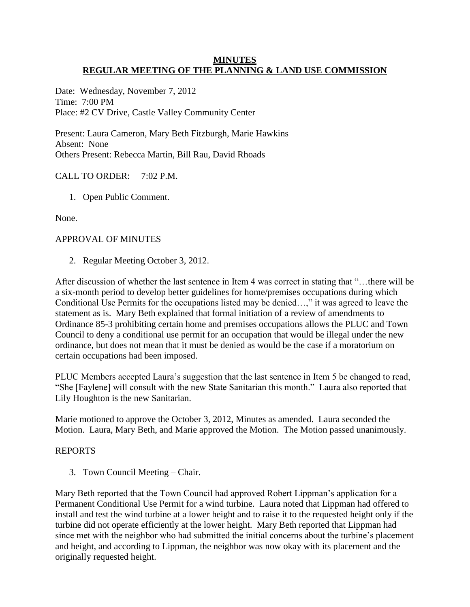### **MINUTES REGULAR MEETING OF THE PLANNING & LAND USE COMMISSION**

Date: Wednesday, November 7, 2012 Time: 7:00 PM Place: #2 CV Drive, Castle Valley Community Center

Present: Laura Cameron, Mary Beth Fitzburgh, Marie Hawkins Absent: None Others Present: Rebecca Martin, Bill Rau, David Rhoads

# CALL TO ORDER: 7:02 P.M.

1. Open Public Comment.

None.

# APPROVAL OF MINUTES

2. Regular Meeting October 3, 2012.

After discussion of whether the last sentence in Item 4 was correct in stating that "…there will be a six-month period to develop better guidelines for home/premises occupations during which Conditional Use Permits for the occupations listed may be denied…," it was agreed to leave the statement as is. Mary Beth explained that formal initiation of a review of amendments to Ordinance 85-3 prohibiting certain home and premises occupations allows the PLUC and Town Council to deny a conditional use permit for an occupation that would be illegal under the new ordinance, but does not mean that it must be denied as would be the case if a moratorium on certain occupations had been imposed.

PLUC Members accepted Laura's suggestion that the last sentence in Item 5 be changed to read, "She [Faylene] will consult with the new State Sanitarian this month." Laura also reported that Lily Houghton is the new Sanitarian.

Marie motioned to approve the October 3, 2012, Minutes as amended. Laura seconded the Motion. Laura, Mary Beth, and Marie approved the Motion. The Motion passed unanimously.

# REPORTS

3. Town Council Meeting – Chair.

Mary Beth reported that the Town Council had approved Robert Lippman's application for a Permanent Conditional Use Permit for a wind turbine. Laura noted that Lippman had offered to install and test the wind turbine at a lower height and to raise it to the requested height only if the turbine did not operate efficiently at the lower height. Mary Beth reported that Lippman had since met with the neighbor who had submitted the initial concerns about the turbine's placement and height, and according to Lippman, the neighbor was now okay with its placement and the originally requested height.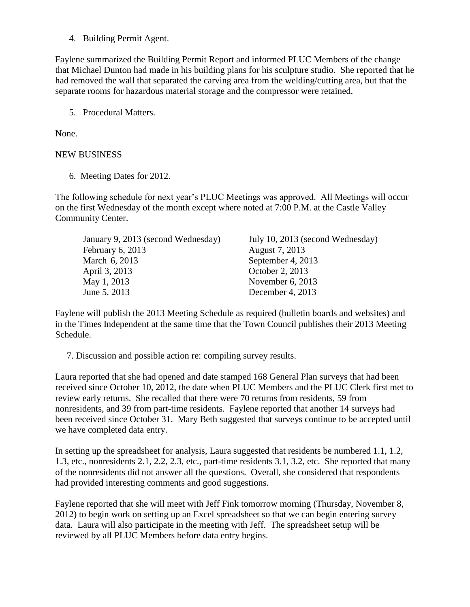4. Building Permit Agent.

Faylene summarized the Building Permit Report and informed PLUC Members of the change that Michael Dunton had made in his building plans for his sculpture studio. She reported that he had removed the wall that separated the carving area from the welding/cutting area, but that the separate rooms for hazardous material storage and the compressor were retained.

5. Procedural Matters.

None.

### NEW BUSINESS

6. Meeting Dates for 2012.

The following schedule for next year's PLUC Meetings was approved. All Meetings will occur on the first Wednesday of the month except where noted at 7:00 P.M. at the Castle Valley Community Center.

| July 10, 2013 (second Wednesday) |
|----------------------------------|
| August 7, 2013                   |
| September 4, 2013                |
| October 2, 2013                  |
| November $6, 2013$               |
| December 4, 2013                 |
|                                  |

Faylene will publish the 2013 Meeting Schedule as required (bulletin boards and websites) and in the Times Independent at the same time that the Town Council publishes their 2013 Meeting Schedule.

7. Discussion and possible action re: compiling survey results.

Laura reported that she had opened and date stamped 168 General Plan surveys that had been received since October 10, 2012, the date when PLUC Members and the PLUC Clerk first met to review early returns. She recalled that there were 70 returns from residents, 59 from nonresidents, and 39 from part-time residents. Faylene reported that another 14 surveys had been received since October 31. Mary Beth suggested that surveys continue to be accepted until we have completed data entry.

In setting up the spreadsheet for analysis, Laura suggested that residents be numbered 1.1, 1.2, 1.3, etc., nonresidents 2.1, 2.2, 2.3, etc., part-time residents 3.1, 3.2, etc. She reported that many of the nonresidents did not answer all the questions. Overall, she considered that respondents had provided interesting comments and good suggestions.

Faylene reported that she will meet with Jeff Fink tomorrow morning (Thursday, November 8, 2012) to begin work on setting up an Excel spreadsheet so that we can begin entering survey data. Laura will also participate in the meeting with Jeff. The spreadsheet setup will be reviewed by all PLUC Members before data entry begins.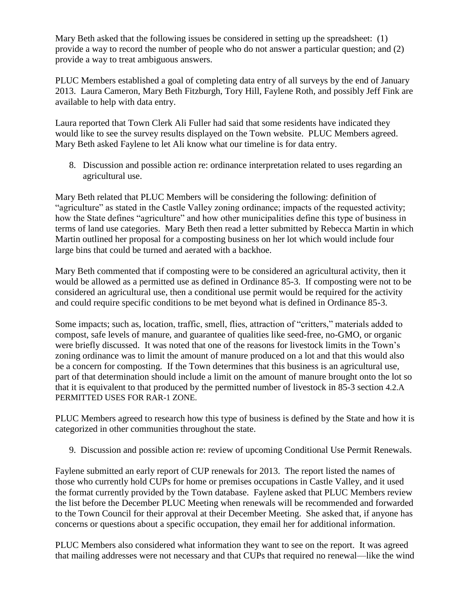Mary Beth asked that the following issues be considered in setting up the spreadsheet: (1) provide a way to record the number of people who do not answer a particular question; and (2) provide a way to treat ambiguous answers.

PLUC Members established a goal of completing data entry of all surveys by the end of January 2013. Laura Cameron, Mary Beth Fitzburgh, Tory Hill, Faylene Roth, and possibly Jeff Fink are available to help with data entry.

Laura reported that Town Clerk Ali Fuller had said that some residents have indicated they would like to see the survey results displayed on the Town website. PLUC Members agreed. Mary Beth asked Faylene to let Ali know what our timeline is for data entry.

8. Discussion and possible action re: ordinance interpretation related to uses regarding an agricultural use.

Mary Beth related that PLUC Members will be considering the following: definition of "agriculture" as stated in the Castle Valley zoning ordinance; impacts of the requested activity; how the State defines "agriculture" and how other municipalities define this type of business in terms of land use categories. Mary Beth then read a letter submitted by Rebecca Martin in which Martin outlined her proposal for a composting business on her lot which would include four large bins that could be turned and aerated with a backhoe.

Mary Beth commented that if composting were to be considered an agricultural activity, then it would be allowed as a permitted use as defined in Ordinance 85-3. If composting were not to be considered an agricultural use, then a conditional use permit would be required for the activity and could require specific conditions to be met beyond what is defined in Ordinance 85-3.

Some impacts; such as, location, traffic, smell, flies, attraction of "critters," materials added to compost, safe levels of manure, and guarantee of qualities like seed-free, no-GMO, or organic were briefly discussed. It was noted that one of the reasons for livestock limits in the Town's zoning ordinance was to limit the amount of manure produced on a lot and that this would also be a concern for composting. If the Town determines that this business is an agricultural use, part of that determination should include a limit on the amount of manure brought onto the lot so that it is equivalent to that produced by the permitted number of livestock in 85-3 section 4.2.A PERMITTED USES FOR RAR-1 ZONE.

PLUC Members agreed to research how this type of business is defined by the State and how it is categorized in other communities throughout the state.

9. Discussion and possible action re: review of upcoming Conditional Use Permit Renewals.

Faylene submitted an early report of CUP renewals for 2013. The report listed the names of those who currently hold CUPs for home or premises occupations in Castle Valley, and it used the format currently provided by the Town database. Faylene asked that PLUC Members review the list before the December PLUC Meeting when renewals will be recommended and forwarded to the Town Council for their approval at their December Meeting. She asked that, if anyone has concerns or questions about a specific occupation, they email her for additional information.

PLUC Members also considered what information they want to see on the report. It was agreed that mailing addresses were not necessary and that CUPs that required no renewal—like the wind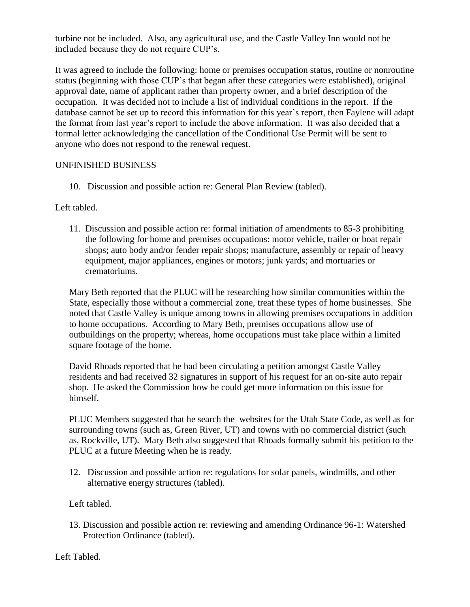turbine not be included. Also, any agricultural use, and the Castle Valley Inn would not be included because they do not require CUP's.

It was agreed to include the following: home or premises occupation status, routine or nonroutine status (beginning with those CUP's that began after these categories were established), original approval date, name of applicant rather than property owner, and a brief description of the occupation. It was decided not to include a list of individual conditions in the report. If the database cannot be set up to record this information for this year's report, then Faylene will adapt the format from last year's report to include the above information. It was also decided that a formal letter acknowledging the cancellation of the Conditional Use Permit will be sent to anyone who does not respond to the renewal request.

### UNFINISHED BUSINESS

10. Discussion and possible action re: General Plan Review (tabled).

Left tabled.

11. Discussion and possible action re: formal initiation of amendments to 85-3 prohibiting the following for home and premises occupations: motor vehicle, trailer or boat repair shops; auto body and/or fender repair shops; manufacture, assembly or repair of heavy equipment, major appliances, engines or motors; junk yards; and mortuaries or crematoriums.

Mary Beth reported that the PLUC will be researching how similar communities within the State, especially those without a commercial zone, treat these types of home businesses. She noted that Castle Valley is unique among towns in allowing premises occupations in addition to home occupations. According to Mary Beth, premises occupations allow use of outbuildings on the property; whereas, home occupations must take place within a limited square footage of the home.

David Rhoads reported that he had been circulating a petition amongst Castle Valley residents and had received 32 signatures in support of his request for an on-site auto repair shop. He asked the Commission how he could get more information on this issue for himself.

PLUC Members suggested that he search the websites for the Utah State Code, as well as for surrounding towns (such as, Green River, UT) and towns with no commercial district (such as, Rockville, UT). Mary Beth also suggested that Rhoads formally submit his petition to the PLUC at a future Meeting when he is ready.

12. Discussion and possible action re: regulations for solar panels, windmills, and other alternative energy structures (tabled).

Left tabled.

 13. Discussion and possible action re: reviewing and amending Ordinance 96-1: Watershed Protection Ordinance (tabled).

Left Tabled.